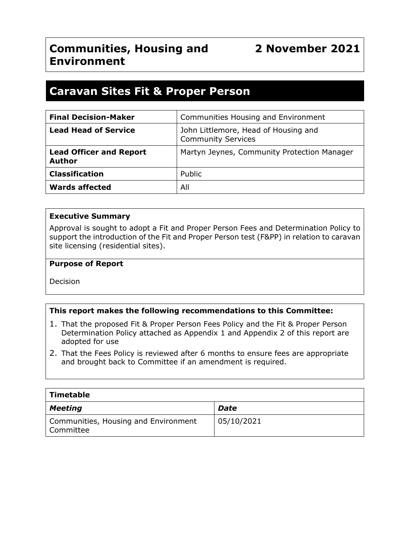# **Communities, Housing and Environment**

# **2 November 2021**

# **Caravan Sites Fit & Proper Person**

| <b>Final Decision-Maker</b>                     | Communities Housing and Environment                               |
|-------------------------------------------------|-------------------------------------------------------------------|
| <b>Lead Head of Service</b>                     | John Littlemore, Head of Housing and<br><b>Community Services</b> |
| <b>Lead Officer and Report</b><br><b>Author</b> | Martyn Jeynes, Community Protection Manager                       |
| <b>Classification</b>                           | Public                                                            |
| <b>Wards affected</b>                           | All                                                               |

### **Executive Summary**

Approval is sought to adopt a Fit and Proper Person Fees and Determination Policy to support the introduction of the Fit and Proper Person test (F&PP) in relation to caravan site licensing (residential sites).

#### **Purpose of Report**

Decision

### **This report makes the following recommendations to this Committee:**

- 1. That the proposed Fit & Proper Person Fees Policy and the Fit & Proper Person Determination Policy attached as Appendix 1 and Appendix 2 of this report are adopted for use
- 2. That the Fees Policy is reviewed after 6 months to ensure fees are appropriate and brought back to Committee if an amendment is required.

| $\mid$ Timetable                                    |             |
|-----------------------------------------------------|-------------|
| Meeting                                             | <b>Date</b> |
| Communities, Housing and Environment<br>  Committee | 05/10/2021  |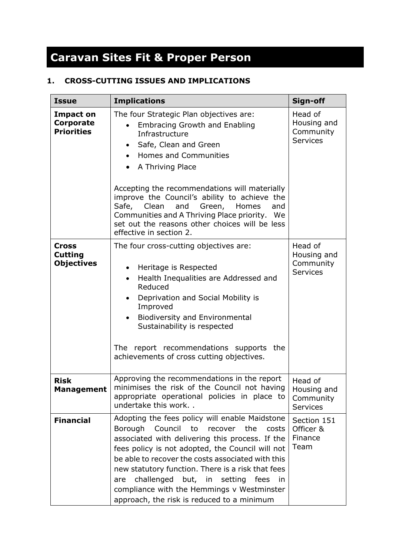# **Caravan Sites Fit & Proper Person**

# **1. CROSS-CUTTING ISSUES AND IMPLICATIONS**

| <b>Issue</b>                                              | <b>Implications</b>                                                                                                                                                                                                                                                                                                                                                                                                                                                                 | Sign-off                                               |
|-----------------------------------------------------------|-------------------------------------------------------------------------------------------------------------------------------------------------------------------------------------------------------------------------------------------------------------------------------------------------------------------------------------------------------------------------------------------------------------------------------------------------------------------------------------|--------------------------------------------------------|
| <b>Impact on</b><br><b>Corporate</b><br><b>Priorities</b> | The four Strategic Plan objectives are:<br><b>Embracing Growth and Enabling</b><br>Infrastructure<br>Safe, Clean and Green<br>$\bullet$<br>Homes and Communities<br>A Thriving Place<br>$\bullet$<br>Accepting the recommendations will materially<br>improve the Council's ability to achieve the<br>Clean<br>Green,<br>Safe,<br>and<br>Homes<br>and<br>Communities and A Thriving Place priority. We<br>set out the reasons other choices will be less<br>effective in section 2. | Head of<br>Housing and<br>Community<br><b>Services</b> |
| <b>Cross</b><br><b>Cutting</b><br><b>Objectives</b>       | The four cross-cutting objectives are:<br>Heritage is Respected<br>$\bullet$<br>Health Inequalities are Addressed and<br>$\bullet$<br>Reduced<br>Deprivation and Social Mobility is<br>$\bullet$<br>Improved<br><b>Biodiversity and Environmental</b><br>Sustainability is respected<br>The report recommendations supports the<br>achievements of cross cutting objectives.                                                                                                        | Head of<br>Housing and<br>Community<br><b>Services</b> |
| <b>Risk</b><br><b>Management</b>                          | Approving the recommendations in the report<br>minimises the risk of the Council not having<br>appropriate operational policies in place to<br>undertake this work. .                                                                                                                                                                                                                                                                                                               | Head of<br>Housing and<br>Community<br><b>Services</b> |
| <b>Financial</b>                                          | Adopting the fees policy will enable Maidstone<br><b>Borough</b><br>Council<br>to<br>recover<br>the<br>costs<br>associated with delivering this process. If the<br>fees policy is not adopted, the Council will not<br>be able to recover the costs associated with this<br>new statutory function. There is a risk that fees<br>challenged<br>but, in<br>setting<br>fees<br>in<br>are<br>compliance with the Hemmings v Westminster<br>approach, the risk is reduced to a minimum  | Section 151<br>Officer &<br>Finance<br>Team            |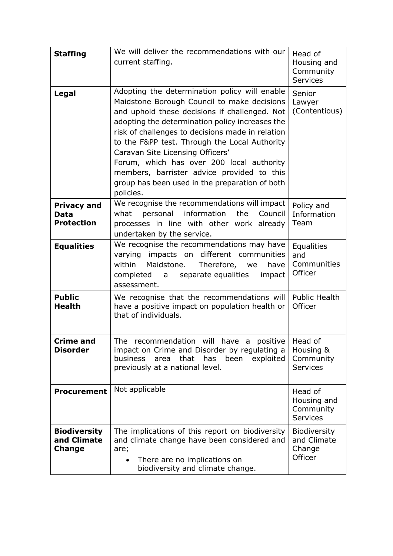| <b>Staffing</b>                                        | We will deliver the recommendations with our<br>current staffing.                                                                                                                                                                                                                                                                                                                                                                                                                                   | Head of<br>Housing and<br>Community<br><b>Services</b> |
|--------------------------------------------------------|-----------------------------------------------------------------------------------------------------------------------------------------------------------------------------------------------------------------------------------------------------------------------------------------------------------------------------------------------------------------------------------------------------------------------------------------------------------------------------------------------------|--------------------------------------------------------|
| <b>Legal</b>                                           | Adopting the determination policy will enable<br>Maidstone Borough Council to make decisions<br>and uphold these decisions if challenged. Not<br>adopting the determination policy increases the<br>risk of challenges to decisions made in relation<br>to the F&PP test. Through the Local Authority<br>Caravan Site Licensing Officers'<br>Forum, which has over 200 local authority<br>members, barrister advice provided to this<br>group has been used in the preparation of both<br>policies. | Senior<br>Lawyer<br>(Contentious)                      |
| <b>Privacy and</b><br><b>Data</b><br><b>Protection</b> | We recognise the recommendations will impact<br>what<br>personal<br>information<br>the<br>Council<br>processes in line with other work already<br>undertaken by the service.                                                                                                                                                                                                                                                                                                                        | Policy and<br>Information<br>Team                      |
| <b>Equalities</b>                                      | We recognise the recommendations may have<br>varying impacts on different communities<br>within<br>Maidstone.<br>Therefore, we<br>have<br>completed a separate equalities<br>impact<br>assessment.                                                                                                                                                                                                                                                                                                  | <b>Equalities</b><br>and<br>Communities<br>Officer     |
| <b>Public</b><br>Health                                | We recognise that the recommendations will<br>have a positive impact on population health or<br>that of individuals.                                                                                                                                                                                                                                                                                                                                                                                | <b>Public Health</b><br>Officer                        |
| <b>Crime and</b><br><b>Disorder</b>                    | The recommendation will have a positive Head of<br>impact on Crime and Disorder by regulating a<br>business<br>that<br>area<br>has<br>been<br>exploited<br>previously at a national level.                                                                                                                                                                                                                                                                                                          | Housing &<br>Community<br><b>Services</b>              |
| <b>Procurement</b>                                     | Not applicable                                                                                                                                                                                                                                                                                                                                                                                                                                                                                      | Head of<br>Housing and<br>Community<br><b>Services</b> |
| <b>Biodiversity</b><br>and Climate<br><b>Change</b>    | The implications of this report on biodiversity<br>and climate change have been considered and<br>are;<br>There are no implications on<br>biodiversity and climate change.                                                                                                                                                                                                                                                                                                                          | Biodiversity<br>and Climate<br>Change<br>Officer       |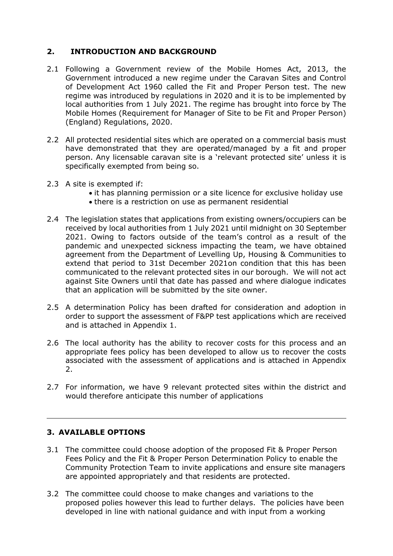# **2. INTRODUCTION AND BACKGROUND**

- 2.1 Following a Government review of the Mobile Homes Act, 2013, the Government introduced a new regime under the Caravan Sites and Control of Development Act 1960 called the Fit and Proper Person test. The new regime was introduced by regulations in 2020 and it is to be implemented by local authorities from 1 July 2021. The regime has brought into force by The Mobile Homes (Requirement for Manager of Site to be Fit and Proper Person) (England) Regulations, 2020.
- 2.2 All protected residential sites which are operated on a commercial basis must have demonstrated that they are operated/managed by a fit and proper person. Any licensable caravan site is a 'relevant protected site' unless it is specifically exempted from being so.
- 2.3 A site is exempted if:
	- it has planning permission or a site licence for exclusive holiday use
	- there is a restriction on use as permanent residential
- 2.4 The legislation states that applications from existing owners/occupiers can be received by local authorities from 1 July 2021 until midnight on 30 September 2021. Owing to factors outside of the team's control as a result of the pandemic and unexpected sickness impacting the team, we have obtained agreement from the Department of Levelling Up, Housing & Communities to extend that period to 31st December 2021on condition that this has been communicated to the relevant protected sites in our borough. We will not act against Site Owners until that date has passed and where dialogue indicates that an application will be submitted by the site owner.
- 2.5 A determination Policy has been drafted for consideration and adoption in order to support the assessment of F&PP test applications which are received and is attached in Appendix 1.
- 2.6 The local authority has the ability to recover costs for this process and an appropriate fees policy has been developed to allow us to recover the costs associated with the assessment of applications and is attached in Appendix 2.
- 2.7 For information, we have 9 relevant protected sites within the district and would therefore anticipate this number of applications

# **3. AVAILABLE OPTIONS**

- 3.1 The committee could choose adoption of the proposed Fit & Proper Person Fees Policy and the Fit & Proper Person Determination Policy to enable the Community Protection Team to invite applications and ensure site managers are appointed appropriately and that residents are protected.
- 3.2 The committee could choose to make changes and variations to the proposed polies however this lead to further delays. The policies have been developed in line with national guidance and with input from a working